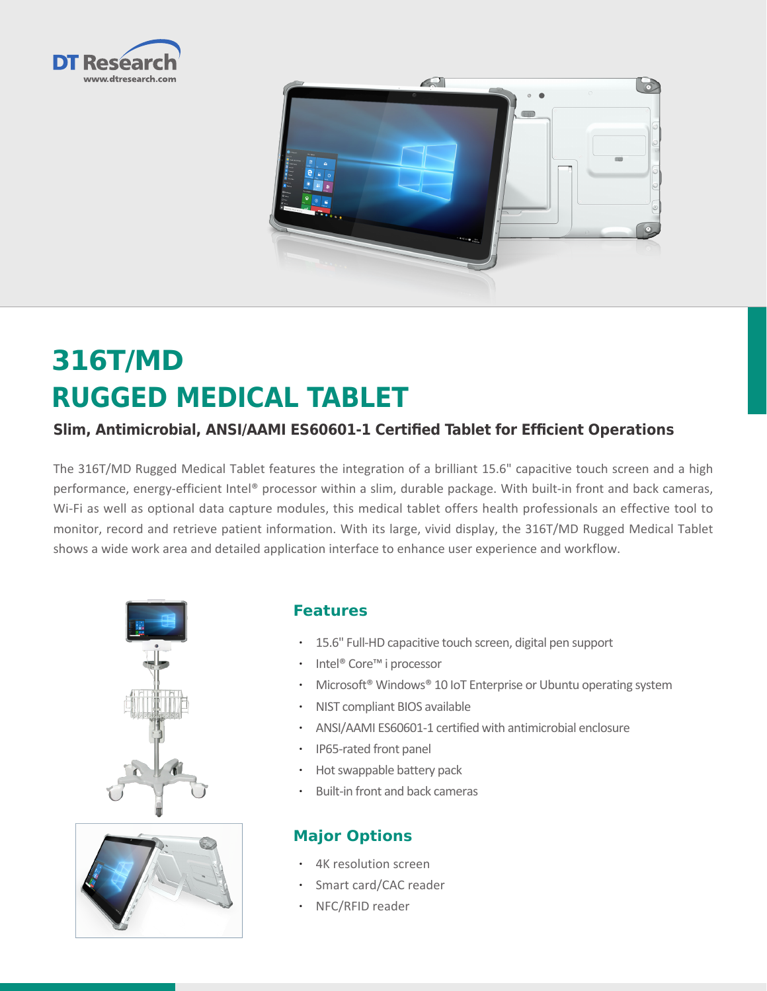



# **316T/MD RUGGED MEDICAL TABLET**

# **Slim, Antimicrobial, ANSI/AAMI ES60601-1 Certified Tablet for Efficient Operations**

The 316T/MD Rugged Medical Tablet features the integration of a brilliant 15.6" capacitive touch screen and a high performance, energy-efficient Intel® processor within a slim, durable package. With built-in front and back cameras, Wi-Fi as well as optional data capture modules, this medical tablet offers health professionals an effective tool to monitor, record and retrieve patient information. With its large, vivid display, the 316T/MD Rugged Medical Tablet shows a wide work area and detailed application interface to enhance user experience and workflow.





# **Features**

- • 15.6" Full-HD capacitive touch screen, digital pen support
- • Intel® Core™ i processor
- Microsoft<sup>®</sup> Windows<sup>®</sup> 10 IoT Enterprise or Ubuntu operating system
- • NIST compliant BIOS available
- • ANSI/AAMI ES60601-1 certified with antimicrobial enclosure
- • IP65-rated front panel
- • Hot swappable battery pack
- Built-in front and back cameras

# **Major Options**

- • 4K resolution screen
- Smart card/CAC reader
- NFC/RFID reader